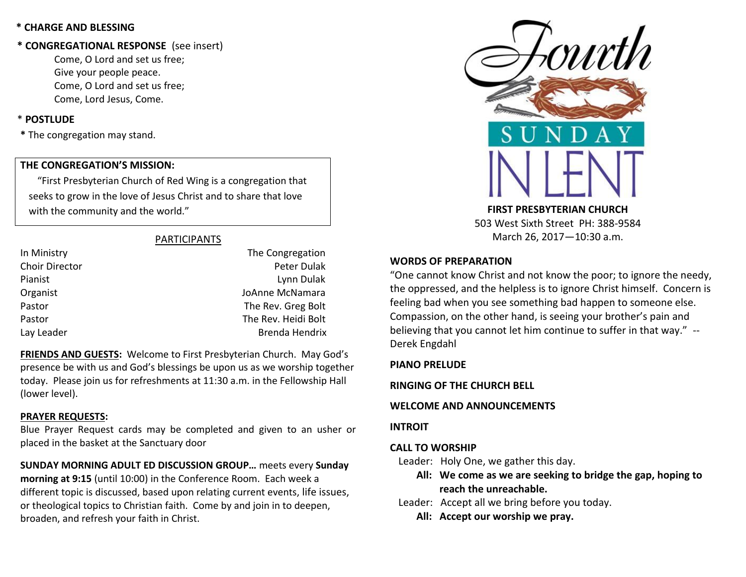## **\* CHARGE AND BLESSING**

## **\* CONGREGATIONAL RESPONSE** (see insert)

Come, O Lord and set us free; Give your people peace. Come, O Lord and set us free; Come, Lord Jesus, Come.

## \* **POSTLUDE**

**\*** The congregation may stand.

## **THE CONGREGATION'S MISSION:**

"First Presbyterian Church of Red Wing is a congregation that seeks to grow in the love of Jesus Christ and to share that love with the community and the world."

## PARTICIPANTS

| In Ministry    | The Congregation    |
|----------------|---------------------|
| Choir Director | Peter Dulak         |
| Pianist        | Lynn Dulak          |
| Organist       | JoAnne McNamara     |
| Pastor         | The Rev. Greg Bolt  |
| Pastor         | The Rev. Heidi Bolt |
| Lay Leader     | Brenda Hendrix      |
|                |                     |

**FRIENDS AND GUESTS:** Welcome to First Presbyterian Church. May God's presence be with us and God's blessings be upon us as we worship together today. Please join us for refreshments at 11:30 a.m. in the Fellowship Hall (lower level).

### **PRAYER REQUESTS:**

Blue Prayer Request cards may be completed and given to an usher or placed in the basket at the Sanctuary door

**SUNDAY MORNING ADULT ED DISCUSSION GROUP…** meets every **Sunday morning at 9:15** (until 10:00) in the Conference Room. Each week a different topic is discussed, based upon relating current events, life issues, or theological topics to Christian faith. Come by and join in to deepen, broaden, and refresh your faith in Christ.



**FIRST PRESBYTERIAN CHURCH** 503 West Sixth Street PH: 388-9584 March 26, 2017—10:30 a.m.

## **WORDS OF PREPARATION**

"One cannot know Christ and not know the poor; to ignore the needy, the oppressed, and the helpless is to ignore Christ himself. Concern is feeling bad when you see something bad happen to someone else. Compassion, on the other hand, is seeing your brother's pain and believing that you cannot let him continue to suffer in that way." -- Derek Engdahl

## **PIANO PRELUDE**

**RINGING OF THE CHURCH BELL**

## **WELCOME AND ANNOUNCEMENTS**

### **INTROIT**

## **CALL TO WORSHIP**

Leader: Holy One, we gather this day.

- **All: We come as we are seeking to bridge the gap, hoping to reach the unreachable.**
- Leader: Accept all we bring before you today.
	- **All: Accept our worship we pray.**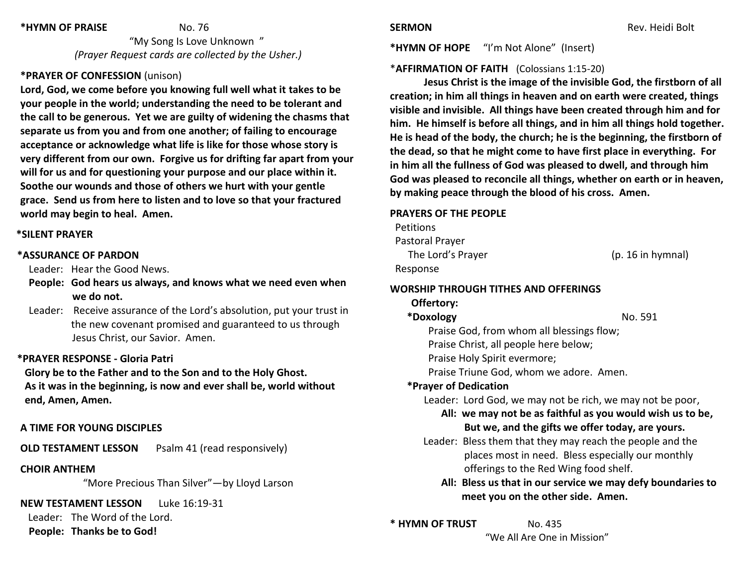#### **\*HYMN OF PRAISE** No. 76

 "My Song Is Love Unknown " *(Prayer Request cards are collected by the Usher.)*

# **\*PRAYER OF CONFESSION** (unison)

**Lord, God, we come before you knowing full well what it takes to be your people in the world; understanding the need to be tolerant and the call to be generous. Yet we are guilty of widening the chasms that separate us from you and from one another; of failing to encourage acceptance or acknowledge what life is like for those whose story is very different from our own. Forgive us for drifting far apart from your will for us and for questioning your purpose and our place within it. Soothe our wounds and those of others we hurt with your gentle grace. Send us from here to listen and to love so that your fractured world may begin to heal. Amen.**

### **\*SILENT PRAYER**

#### **\*ASSURANCE OF PARDON**

Leader: Hear the Good News.

- **People: God hears us always, and knows what we need even when we do not.**
- Leader: Receive assurance of the Lord's absolution, put your trust in the new covenant promised and guaranteed to us through Jesus Christ, our Savior. Amen.

#### **\*PRAYER RESPONSE - Gloria Patri**

 **Glory be to the Father and to the Son and to the Holy Ghost. As it was in the beginning, is now and ever shall be, world without end, Amen, Amen.**

### **A TIME FOR YOUNG DISCIPLES**

**OLD TESTAMENT LESSON** Psalm 41 (read responsively)

#### **CHOIR ANTHEM**

"More Precious Than Silver"—by Lloyd Larson

**NEW TESTAMENT LESSON** Luke 16:19-31

Leader: The Word of the Lord.

**People: Thanks be to God!**

**\*HYMN OF HOPE** "I'm Not Alone" (Insert)

## \***AFFIRMATION OF FAITH** (Colossians 1:15-20)

**Jesus Christ is the image of the invisible God, the firstborn of all creation; in him all things in heaven and on earth were created, things visible and invisible. All things have been created through him and for him. He himself is before all things, and in him all things hold together. He is head of the body, the church; he is the beginning, the firstborn of the dead, so that he might come to have first place in everything. For in him all the fullness of God was pleased to dwell, and through him God was pleased to reconcile all things, whether on earth or in heaven, by making peace through the blood of his cross. Amen.**

#### **PRAYERS OF THE PEOPLE**

**Petitions**  Pastoral Prayer The Lord's Prayer (p. 16 in hymnal) Response

## **WORSHIP THROUGH TITHES AND OFFERINGS**

## **Offertory:**

#### **\*Doxology** No. 591

- Praise God, from whom all blessings flow; Praise Christ, all people here below;
- 
- Praise Holy Spirit evermore;

Praise Triune God, whom we adore. Amen.

## **\*Prayer of Dedication**

Leader: Lord God, we may not be rich, we may not be poor,

- **All: we may not be as faithful as you would wish us to be, But we, and the gifts we offer today, are yours.**
- Leader: Bless them that they may reach the people and the places most in need. Bless especially our monthly offerings to the Red Wing food shelf.

# **All: Bless us that in our service we may defy boundaries to meet you on the other side. Amen.**

# **\* HYMN OF TRUST** No. 435

"We All Are One in Mission"

**SERMON Rev. Heidi Bolt Rev. Heidi Bolt**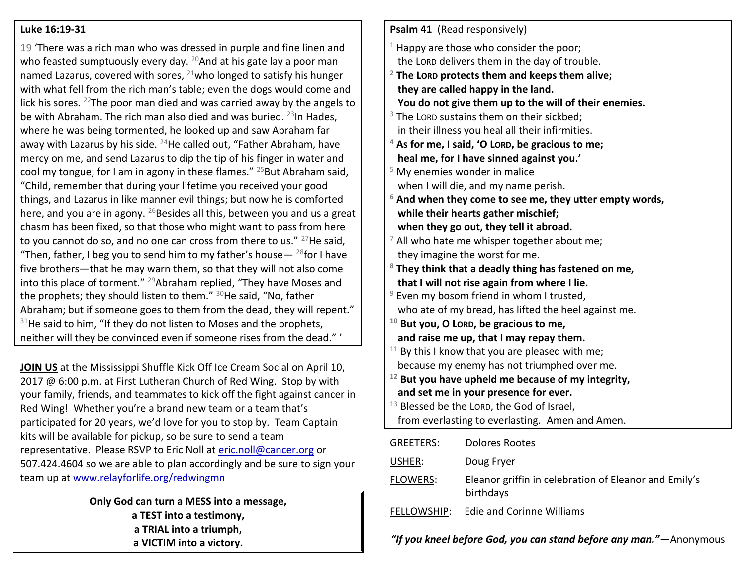## **Luke 16:19-31**

19 'There was a rich man who was dressed in purple and fine linen and who feasted sumptuously every day. <sup>20</sup>And at his gate lay a poor man named Lazarus, covered with sores,  $^{21}$ who longed to satisfy his hunger with what fell from the rich man's table; even the dogs would come and lick his sores.  $^{22}$ The poor man died and was carried away by the angels to be with Abraham. The rich man also died and was buried.  $^{23}$ In Hades, where he was being tormented, he looked up and saw Abraham far away with Lazarus by his side.  $^{24}$ He called out, "Father Abraham, have mercy on me, and send Lazarus to dip the tip of his finger in water and cool my tongue; for I am in agony in these flames."  $^{25}$ But Abraham said, "Child, remember that during your lifetime you received your good things, and Lazarus in like manner evil things; but now he is comforted here, and you are in agony.  $^{26}$ Besides all this, between you and us a great chasm has been fixed, so that those who might want to pass from here to you cannot do so, and no one can cross from there to us." <sup>27</sup>He said, "Then, father, I beg you to send him to my father's house  $-$  <sup>28</sup>for I have five brothers—that he may warn them, so that they will not also come into this place of torment." <sup>29</sup>Abraham replied, "They have Moses and the prophets; they should listen to them."  $30$ He said, "No, father Abraham; but if someone goes to them from the dead, they will repent."  $31$ He said to him, "If they do not listen to Moses and the prophets, neither will they be convinced even if someone rises from the dead." '

**JOIN US** at the Mississippi Shuffle Kick Off Ice Cream Social on April 10, 2017 @ 6:00 p.m. at First Lutheran Church of Red Wing. Stop by with your family, friends, and teammates to kick off the fight against cancer in Red Wing! Whether you're a brand new team or a team that's participated for 20 years, we'd love for you to stop by. Team Captain kits will be available for pickup, so be sure to send a team representative. Please RSVP to Eric Noll at [eric.noll@cancer.org](mailto:eric.noll@cancer.org) or 507.424.4604 so we are able to plan accordingly and be sure to sign your team up at [www.relayforlife.org/redwingmn](http://www.relayforlife.org/redwingmn)

> **Only God can turn a MESS into a message, a TEST into a testimony, a TRIAL into a triumph, a VICTIM into a victory.**

| Psalm 41 (Read responsively)                      |                                                                    |
|---------------------------------------------------|--------------------------------------------------------------------|
|                                                   | $1$ Happy are those who consider the poor;                         |
|                                                   | the LORD delivers them in the day of trouble.                      |
|                                                   | $2$ The LORD protects them and keeps them alive;                   |
|                                                   | they are called happy in the land.                                 |
|                                                   | You do not give them up to the will of their enemies.              |
|                                                   | $3$ The LORD sustains them on their sickbed;                       |
|                                                   | in their illness you heal all their infirmities.                   |
|                                                   | $4$ As for me, I said, 'O LORD, be gracious to me;                 |
|                                                   | heal me, for I have sinned against you.'                           |
|                                                   | $5$ My enemies wonder in malice                                    |
|                                                   | when I will die, and my name perish.                               |
|                                                   | $6$ And when they come to see me, they utter empty words,          |
|                                                   | while their hearts gather mischief;                                |
|                                                   | when they go out, they tell it abroad.                             |
|                                                   | $\frac{7}{7}$ All who hate me whisper together about me;           |
|                                                   | they imagine the worst for me.                                     |
|                                                   | <sup>8</sup> They think that a deadly thing has fastened on me,    |
|                                                   | that I will not rise again from where I lie.                       |
|                                                   | $9$ Even my bosom friend in whom I trusted,                        |
|                                                   | who ate of my bread, has lifted the heel against me.               |
|                                                   | $10$ But you, O LORD, be gracious to me,                           |
|                                                   | and raise me up, that I may repay them.                            |
| $11$ By this I know that you are pleased with me; |                                                                    |
|                                                   | because my enemy has not triumphed over me.                        |
|                                                   | $12$ But you have upheld me because of my integrity,               |
|                                                   | and set me in your presence for ever.                              |
|                                                   | <sup>13</sup> Blessed be the LORD, the God of Israel,              |
|                                                   | from everlasting to everlasting. Amen and Amen.                    |
| GREETERS:                                         | <b>Dolores Rootes</b>                                              |
| USHER:                                            | Doug Fryer                                                         |
| <b>FLOWERS:</b>                                   | Eleanor griffin in celebration of Eleanor and Emily's<br>birthdays |
| <u>FELLOWSHIP:</u>                                | <b>Edie and Corinne Williams</b>                                   |
|                                                   | "If you kneel before God, you can stand before any man."—Anonymous |